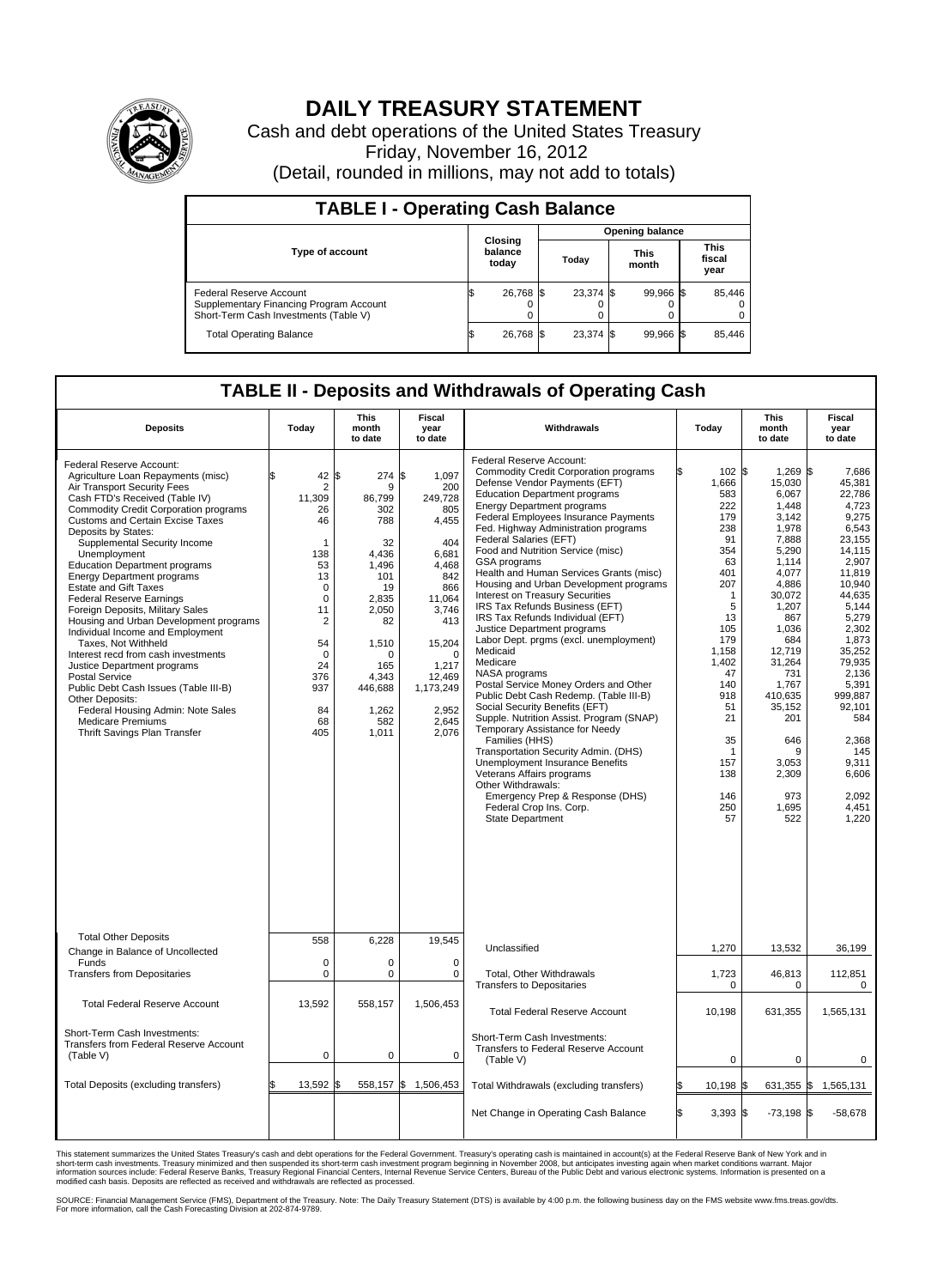

## **DAILY TREASURY STATEMENT**

Cash and debt operations of the United States Treasury Friday, November 16, 2012 (Detail, rounded in millions, may not add to totals)

| <b>TABLE I - Operating Cash Balance</b>                                                                     |                             |                 |                               |  |                               |  |                         |  |  |  |
|-------------------------------------------------------------------------------------------------------------|-----------------------------|-----------------|-------------------------------|--|-------------------------------|--|-------------------------|--|--|--|
|                                                                                                             |                             | Opening balance |                               |  |                               |  |                         |  |  |  |
| <b>Type of account</b>                                                                                      | Closing<br>balance<br>today |                 | <b>This</b><br>Today<br>month |  | <b>This</b><br>fiscal<br>year |  |                         |  |  |  |
| Federal Reserve Account<br>Supplementary Financing Program Account<br>Short-Term Cash Investments (Table V) | 26,768 \$<br>0              |                 | 23,374 \$                     |  | 99,966 \$                     |  | 85,446<br>$\Omega$<br>0 |  |  |  |
| <b>Total Operating Balance</b>                                                                              | 26,768                      |                 | 23.374 \$                     |  | 99,966 \$                     |  | 85,446                  |  |  |  |

## **TABLE II - Deposits and Withdrawals of Operating Cash**

| <b>Deposits</b>                                                                                                                                                                                                                                                                                                                                                                                                                                                                                                                                                                                                                                                                                                                                                                                                                                        | Today                                                                                                                                                                      | <b>This</b><br>month<br>to date                                                                                                                                             | Fiscal<br>year<br>to date                                                                                                                                                                       | Withdrawals                                                                                                                                                                                                                                                                                                                                                                                                                                                                                                                                                                                                                                                                                                                                                                                                                                                                                                                                                                                                                                                                                                              | Today                                                                                                                                                                                                   | <b>This</b><br>month<br>to date                                                                                                                                                                                                                                      | Fiscal<br>year<br>to date                                                                                                                                                                                                                                                          |
|--------------------------------------------------------------------------------------------------------------------------------------------------------------------------------------------------------------------------------------------------------------------------------------------------------------------------------------------------------------------------------------------------------------------------------------------------------------------------------------------------------------------------------------------------------------------------------------------------------------------------------------------------------------------------------------------------------------------------------------------------------------------------------------------------------------------------------------------------------|----------------------------------------------------------------------------------------------------------------------------------------------------------------------------|-----------------------------------------------------------------------------------------------------------------------------------------------------------------------------|-------------------------------------------------------------------------------------------------------------------------------------------------------------------------------------------------|--------------------------------------------------------------------------------------------------------------------------------------------------------------------------------------------------------------------------------------------------------------------------------------------------------------------------------------------------------------------------------------------------------------------------------------------------------------------------------------------------------------------------------------------------------------------------------------------------------------------------------------------------------------------------------------------------------------------------------------------------------------------------------------------------------------------------------------------------------------------------------------------------------------------------------------------------------------------------------------------------------------------------------------------------------------------------------------------------------------------------|---------------------------------------------------------------------------------------------------------------------------------------------------------------------------------------------------------|----------------------------------------------------------------------------------------------------------------------------------------------------------------------------------------------------------------------------------------------------------------------|------------------------------------------------------------------------------------------------------------------------------------------------------------------------------------------------------------------------------------------------------------------------------------|
| Federal Reserve Account:<br>Agriculture Loan Repayments (misc)<br>Air Transport Security Fees<br>Cash FTD's Received (Table IV)<br><b>Commodity Credit Corporation programs</b><br><b>Customs and Certain Excise Taxes</b><br>Deposits by States:<br>Supplemental Security Income<br>Unemployment<br><b>Education Department programs</b><br><b>Energy Department programs</b><br><b>Estate and Gift Taxes</b><br><b>Federal Reserve Earnings</b><br>Foreign Deposits, Military Sales<br>Housing and Urban Development programs<br>Individual Income and Employment<br>Taxes, Not Withheld<br>Interest recd from cash investments<br>Justice Department programs<br><b>Postal Service</b><br>Public Debt Cash Issues (Table III-B)<br>Other Deposits:<br>Federal Housing Admin: Note Sales<br><b>Medicare Premiums</b><br>Thrift Savings Plan Transfer | \$<br>42<br>$\overline{2}$<br>11,309<br>26<br>46<br>1<br>138<br>53<br>13<br>$\mathbf 0$<br>$\mathbf 0$<br>11<br>2<br>54<br>$\Omega$<br>24<br>376<br>937<br>84<br>68<br>405 | ß<br>274<br>9<br>86,799<br>302<br>788<br>32<br>4.436<br>1.496<br>101<br>19<br>2,835<br>2.050<br>82<br>1,510<br>$\Omega$<br>165<br>4.343<br>446,688<br>1,262<br>582<br>1,011 | \$<br>1,097<br>200<br>249,728<br>805<br>4,455<br>404<br>6,681<br>4,468<br>842<br>866<br>11,064<br>3.746<br>413<br>15,204<br>$\Omega$<br>1,217<br>12,469<br>1,173,249<br>2,952<br>2,645<br>2,076 | Federal Reserve Account:<br><b>Commodity Credit Corporation programs</b><br>Defense Vendor Payments (EFT)<br><b>Education Department programs</b><br><b>Energy Department programs</b><br>Federal Employees Insurance Payments<br>Fed. Highway Administration programs<br>Federal Salaries (EFT)<br>Food and Nutrition Service (misc)<br>GSA programs<br>Health and Human Services Grants (misc)<br>Housing and Urban Development programs<br><b>Interest on Treasury Securities</b><br>IRS Tax Refunds Business (EFT)<br>IRS Tax Refunds Individual (EFT)<br>Justice Department programs<br>Labor Dept. prgms (excl. unemployment)<br>Medicaid<br>Medicare<br>NASA programs<br>Postal Service Money Orders and Other<br>Public Debt Cash Redemp. (Table III-B)<br>Social Security Benefits (EFT)<br>Supple. Nutrition Assist. Program (SNAP)<br>Temporary Assistance for Needy<br>Families (HHS)<br>Transportation Security Admin. (DHS)<br>Unemployment Insurance Benefits<br>Veterans Affairs programs<br>Other Withdrawals:<br>Emergency Prep & Response (DHS)<br>Federal Crop Ins. Corp.<br><b>State Department</b> | 102S<br>1,666<br>583<br>222<br>179<br>238<br>91<br>354<br>63<br>401<br>207<br>1<br>5<br>13<br>105<br>179<br>1,158<br>1,402<br>47<br>140<br>918<br>51<br>21<br>35<br>1<br>157<br>138<br>146<br>250<br>57 | $1,269$ \$<br>15,030<br>6,067<br>1,448<br>3,142<br>1,978<br>7,888<br>5,290<br>1,114<br>4,077<br>4,886<br>30,072<br>1,207<br>867<br>1,036<br>684<br>12,719<br>31,264<br>731<br>1,767<br>410.635<br>35,152<br>201<br>646<br>9<br>3,053<br>2,309<br>973<br>1,695<br>522 | 7.686<br>45,381<br>22,786<br>4,723<br>9,275<br>6,543<br>23,155<br>14.115<br>2,907<br>11,819<br>10.940<br>44,635<br>5,144<br>5.279<br>2,302<br>1,873<br>35,252<br>79.935<br>2,136<br>5,391<br>999.887<br>92,101<br>584<br>2.368<br>145<br>9.311<br>6,606<br>2,092<br>4,451<br>1,220 |
| <b>Total Other Deposits</b><br>Change in Balance of Uncollected                                                                                                                                                                                                                                                                                                                                                                                                                                                                                                                                                                                                                                                                                                                                                                                        | 558                                                                                                                                                                        | 6,228                                                                                                                                                                       | 19,545                                                                                                                                                                                          | Unclassified                                                                                                                                                                                                                                                                                                                                                                                                                                                                                                                                                                                                                                                                                                                                                                                                                                                                                                                                                                                                                                                                                                             | 1,270                                                                                                                                                                                                   | 13,532                                                                                                                                                                                                                                                               | 36,199                                                                                                                                                                                                                                                                             |
| Funds<br><b>Transfers from Depositaries</b>                                                                                                                                                                                                                                                                                                                                                                                                                                                                                                                                                                                                                                                                                                                                                                                                            | 0<br>0                                                                                                                                                                     | $\mathbf 0$<br>$\Omega$                                                                                                                                                     | $\mathbf 0$<br>$\Omega$                                                                                                                                                                         | Total, Other Withdrawals<br><b>Transfers to Depositaries</b>                                                                                                                                                                                                                                                                                                                                                                                                                                                                                                                                                                                                                                                                                                                                                                                                                                                                                                                                                                                                                                                             | 1,723<br>0                                                                                                                                                                                              | 46,813<br>0                                                                                                                                                                                                                                                          | 112,851<br>0                                                                                                                                                                                                                                                                       |
| <b>Total Federal Reserve Account</b>                                                                                                                                                                                                                                                                                                                                                                                                                                                                                                                                                                                                                                                                                                                                                                                                                   | 13,592                                                                                                                                                                     | 558,157                                                                                                                                                                     | 1,506,453                                                                                                                                                                                       | <b>Total Federal Reserve Account</b>                                                                                                                                                                                                                                                                                                                                                                                                                                                                                                                                                                                                                                                                                                                                                                                                                                                                                                                                                                                                                                                                                     | 10,198                                                                                                                                                                                                  | 631,355                                                                                                                                                                                                                                                              | 1,565,131                                                                                                                                                                                                                                                                          |
| Short-Term Cash Investments:<br>Transfers from Federal Reserve Account<br>(Table V)                                                                                                                                                                                                                                                                                                                                                                                                                                                                                                                                                                                                                                                                                                                                                                    | 0                                                                                                                                                                          | $\mathbf 0$                                                                                                                                                                 | 0                                                                                                                                                                                               | Short-Term Cash Investments:<br>Transfers to Federal Reserve Account<br>(Table V)                                                                                                                                                                                                                                                                                                                                                                                                                                                                                                                                                                                                                                                                                                                                                                                                                                                                                                                                                                                                                                        | $\mathbf 0$                                                                                                                                                                                             | 0                                                                                                                                                                                                                                                                    | 0                                                                                                                                                                                                                                                                                  |
| Total Deposits (excluding transfers)                                                                                                                                                                                                                                                                                                                                                                                                                                                                                                                                                                                                                                                                                                                                                                                                                   | 13,592                                                                                                                                                                     | 558,157<br>l\$                                                                                                                                                              | l\$<br>1,506,453                                                                                                                                                                                | Total Withdrawals (excluding transfers)                                                                                                                                                                                                                                                                                                                                                                                                                                                                                                                                                                                                                                                                                                                                                                                                                                                                                                                                                                                                                                                                                  | 10,198 \$                                                                                                                                                                                               | 631,355 \$                                                                                                                                                                                                                                                           | 1,565,131                                                                                                                                                                                                                                                                          |
|                                                                                                                                                                                                                                                                                                                                                                                                                                                                                                                                                                                                                                                                                                                                                                                                                                                        |                                                                                                                                                                            |                                                                                                                                                                             |                                                                                                                                                                                                 | Net Change in Operating Cash Balance                                                                                                                                                                                                                                                                                                                                                                                                                                                                                                                                                                                                                                                                                                                                                                                                                                                                                                                                                                                                                                                                                     | l\$<br>$3.393$ \$                                                                                                                                                                                       | $-73,198$ \$                                                                                                                                                                                                                                                         | $-58.678$                                                                                                                                                                                                                                                                          |

This statement summarizes the United States Treasury's cash and debt operations for the Federal Government. Treasury's operating cash is maintained in account(s) at the Federal Reserve Bank of New York and in<br>short-term ca

SOURCE: Financial Management Service (FMS), Department of the Treasury. Note: The Daily Treasury Statement (DTS) is available by 4:00 p.m. the following business day on the FMS website www.fms.treas.gov/dts.<br>For more infor